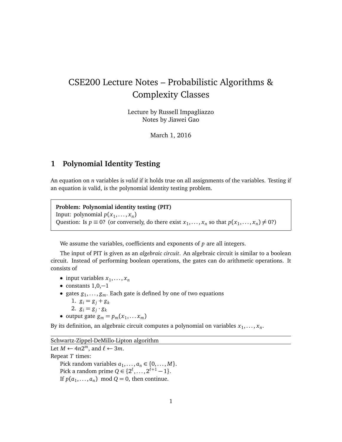## CSE200 Lecture Notes – Probabilistic Algorithms & Complexity Classes

Lecture by Russell Impagliazzo Notes by Jiawei Gao

March 1, 2016

## **1 Polynomial Identity Testing**

An equation on *n* variables is *valid* if it holds true on all assignments of the variables. Testing if an equation is valid, is the polynomial identity testing problem.

```
Problem: Polynomial identity testing (PIT)
Input: polynomial p(x_1, \ldots, x_n)Question: Is p \equiv 0? (or conversely, do there exist x_1, \ldots, x_n so that p(x_1, \ldots, x_n) \neq 0?)
```
We assume the variables, coefficients and exponents of *p* are all integers.

The input of PIT is given as an *algebraic circuit*. An algebraic circuit is similar to a boolean circuit. Instead of performing boolean operations, the gates can do arithmetic operations. It consists of

- input variables  $x_1, \ldots, x_n$
- constants 1,0,−1
- gates  $g_1, \ldots, g_m$ . Each gate is defined by one of two equations
	- 1.  $g_i = g_j + g_k$
	- 2.  $g_i = g_j \cdot g_k$
- output gate  $g_m = p_m(x_1, \dots, x_m)$

By its definition, an algebraic circuit computes a polynomial on variables  $x_1, \ldots, x_n$ .

## Schwartz-Zippel-DeMillo-Lipton algorithm

Let  $M \leftarrow 4n2^m$ , and  $\ell \leftarrow 3m$ . Repeat *T* times: Pick random variables  $a_1, \ldots, a_n \in \{0, \ldots, M\}.$ Pick a random prime  $Q \in \{2^{\ell}, \ldots, 2^{\ell+1} - 1\}.$ If  $p(a_1, \ldots, a_n) \mod Q = 0$ , then continue.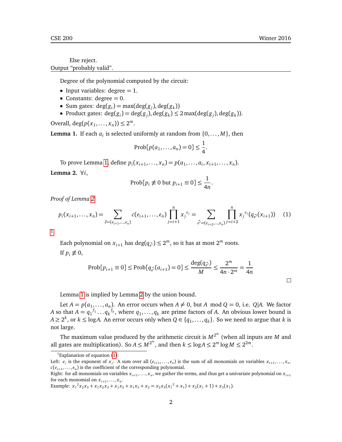Else reject. Output "probably valid".

Degree of the polynomial computed by the circuit:

- Input variables: degree  $= 1$ .
- Constants: degree  $= 0$ .
- Sum gates:  $deg(g_i) = max(deg(g_j), deg(g_k))$
- Product gates:  $deg(g_i) = deg(g_j)$ ,  $deg(g_k) \leq 2 max(deg(g_j)$ ,  $deg(g_k)$ ).

Overall,  $deg(p(x_1,...,x_n)) \leq 2^m$ .

<span id="page-1-0"></span>**Lemma 1.** If each  $a_i$  is selected uniformly at random from  $\{0, \ldots, M\}$ , then

$$
Prob[p(a_1,\ldots,a_n)=0]\leq \frac{1}{4}.
$$

To prove Lemma [1,](#page-1-0) define  $p_i(x_{i+1},...,x_n) = p(a_1,...,a_i,x_{i+1},...,x_n)$ .

<span id="page-1-1"></span>**Lemma 2.** ∀*i*,

$$
Prob[p_i \not\equiv 0 \text{ but } p_{i+1} \equiv 0] \le \frac{1}{4n}.
$$

*Proof of Lemma [2.](#page-1-1)*

<span id="page-1-3"></span>
$$
p_i(x_{i+1},\ldots,x_n) = \sum_{\vec{e}=(e_{i+1},\ldots,e_n)} c(e_{i+1},\ldots,e_n) \prod_{j=i+1}^n x_j^{e_j} = \sum_{\vec{e'}=(e_{i+2},\ldots,e_n)} \prod_{j=i+2}^n x_j^{e_j} (q_{\vec{e'}}(x_{i+1})) \quad (1)
$$

[1](#page-1-2)

Each polynomial on  $x_{i+1}$  has  $\deg(q_{\vec{e'}}) \leq 2^m$ , so it has at most  $2^m$  roots. If  $p_i \not\equiv 0$ ,

$$
Prob[p_{i+1} \equiv 0] \le Prob[q_{e'}(a_{i+1}) = 0] \le \frac{deg(q_{e'})}{M} \le \frac{2^m}{4n \cdot 2^m} = \frac{1}{4n}
$$

Lemma [1](#page-1-0) is implied by Lemma [2](#page-1-1) by the union bound.

Let  $A = p(a_1, \ldots, a_n)$ . An error occurs when  $A \neq 0$ , but  $A \mod Q = 0$ , i.e.  $Q|A$ . We factor *A* so that  $A = q_1^{f_1} \dots q_k^{f_k}$ , where  $q_1, \dots, q_k$  are prime factors of *A*. An obvious lower bound is  $A ≥ 2^k$ , or  $k ≤ \log A$ . An error occurs only when  $Q ∈ \{q_1, …, q_k\}$ . So we need to argue that  $k$  is not large.

The maximum value produced by the arithmetic circuit is  $M^{2^m}$  (when all inputs are  $M$  and all gates are multiplication). So  $A \le M^{2^m}$ , and then  $k \le \log A \le 2^m \log M \le 2^{2m}$ .

<span id="page-1-2"></span><sup>&</sup>lt;sup>1</sup>Explanation of equation  $(1)$ :

Left:  $e_j$  is the exponent of  $x_j$ . A sum over all  $(e_{i+1},...,e_n)$  is the sum of all monomials on variables  $x_{i+1},...,x_n$ .  $c(e_{i+1}, \ldots, e_n)$  is the coefficient of the corresponding polynomial.

Right: for all monomials on variables  $x_{i+1},\ldots,x_n$ , we gather the terms, and thus get a univariate polynomial on  $x_{i+1}$ for each monomial on  $x_{i+1}, \ldots, x_n$ .

Example:  $x_1^2x_2x_3 + x_1x_2x_3 + x_1x_2 + x_1x_3 + x_2 = x_2x_3(x_1^2 + x_1) + x_2(x_1 + 1) + x_3(x_1)$ .